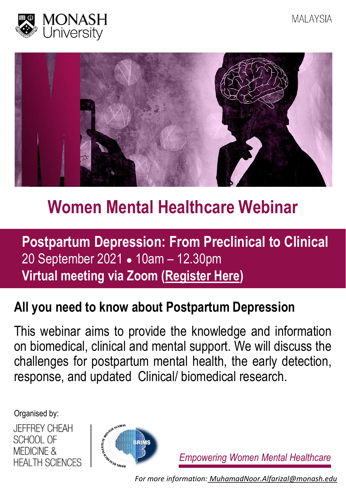



# **Women Mental Healthcare Webinar**

# **Postpartum Depression: From Preclinical to Clinical** 20 September 2021 ● 10am – 12.30pm **Virtual meeting via Zoom ([Register Here](https://monash.zoom.us/webinar/register/WN_037SoTbkQ1GmGEgwfC1Jpw))**

### **All you need to know about Postpartum Depression**

This webinar aims to provide the knowledge and information on biomedical, clinical and mental support. We will discuss the challenges for postpartum mental health, the early detection, response, and updated Clinical/ biomedical research.

Organised by:

**JEFFREY CHEAH** SCHOOL OF **MEDICINE & HEALTH SCIENCES** 



*Empowering Women Mental Healthcare*

*For more information: MuhamadNoor.Alfarizal@monash.edu*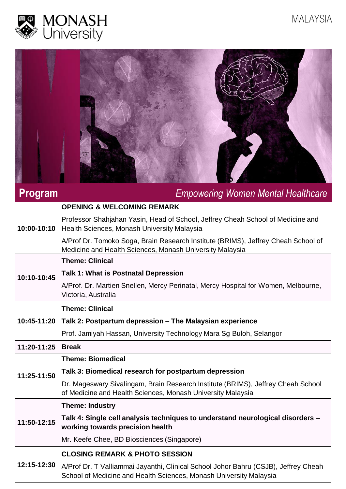



### **Program**

### *Empowering Women Mental Healthcare*

| 10:00-10:10 | <b>OPENING &amp; WELCOMING REMARK</b>                                                                                                           |
|-------------|-------------------------------------------------------------------------------------------------------------------------------------------------|
|             | Professor Shahjahan Yasin, Head of School, Jeffrey Cheah School of Medicine and<br>Health Sciences, Monash University Malaysia                  |
|             | A/Prof Dr. Tomoko Soga, Brain Research Institute (BRIMS), Jeffrey Cheah School of<br>Medicine and Health Sciences, Monash University Malaysia   |
| 10:10-10:45 | <b>Theme: Clinical</b>                                                                                                                          |
|             | Talk 1: What is Postnatal Depression                                                                                                            |
|             | A/Prof. Dr. Martien Snellen, Mercy Perinatal, Mercy Hospital for Women, Melbourne,<br>Victoria, Australia                                       |
| 10:45-11:20 | <b>Theme: Clinical</b>                                                                                                                          |
|             | Talk 2: Postpartum depression – The Malaysian experience                                                                                        |
|             | Prof. Jamiyah Hassan, University Technology Mara Sg Buloh, Selangor                                                                             |
| 11:20-11:25 | <b>Break</b>                                                                                                                                    |
| 11:25-11:50 | <b>Theme: Biomedical</b>                                                                                                                        |
|             | Talk 3: Biomedical research for postpartum depression                                                                                           |
|             |                                                                                                                                                 |
|             | Dr. Mageswary Sivalingam, Brain Research Institute (BRIMS), Jeffrey Cheah School<br>of Medicine and Health Sciences, Monash University Malaysia |
|             | <b>Theme: Industry</b>                                                                                                                          |
| 11:50-12:15 | Talk 4: Single cell analysis techniques to understand neurological disorders -<br>working towards precision health                              |
|             | Mr. Keefe Chee, BD Biosciences (Singapore)                                                                                                      |
|             | <b>CLOSING REMARK &amp; PHOTO SESSION</b>                                                                                                       |